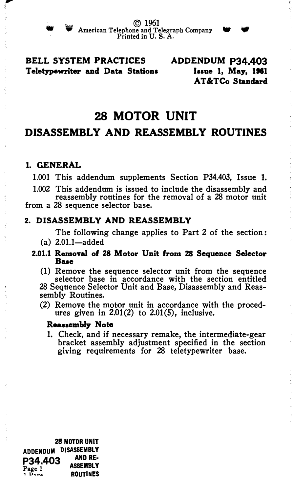

## BELL SYSTEM PRACTICES ADDENDUM P34.403 Teletypewriter and Data Stations Issue 1, May, 1961

AT&TCo Standard

# 28 MOTOR UNIT

# DISASSEMBLY AND REASSEMBLY ROUTINES

### 1. GENERAL

1.001 This addendum supplements Section P34.403, Issue 1.

1.002 This addendum is issued to include the disassembly and reassembly routines for the removal of a 28 motor unit

from a 28 sequence selector base.

#### 2. DISASSEMBLY AND REASSEMBLY

The following change applies to Part 2 of the section:

- $(a) 2.01.1 \text{added}$
- 2.01.1 Removal of 28 Motor Unit from 28 Sequence Selector Baae

(1) Remove the sequence selector unit from the sequence selector base in accordance with the section entitled 28 Sequence Selector Unit and Base, Disassembly and Reassembly Routines.

(2) Remove the motor unit in accordance with the procedures given in  $2.01(2)$  to  $2.01(5)$ , inclusive.

#### Reassembly Note

1. Check, and if necessary remake, the intermediate-gear bracket assembly adjustment specified in the section giving requirements for 28 teletypewriter base.

28 MOTOR UNIT ADDENDUM DISASSEMBLY  $P34.403$  AND RE-<br>Page 1 1 P<sub>2</sub><sub>29</sub> ROUTINES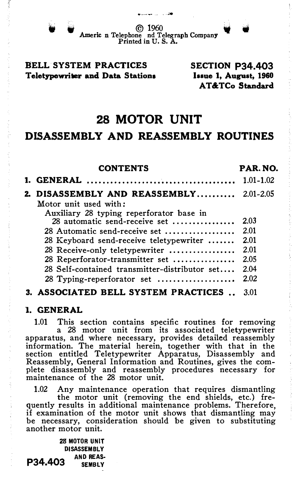<sup>w</sup>Americ ©�0 � � n Telephone nd Telegraph Company Printed in U.S. A.

### BELL SYSTEM PRACTICES Teletypewriter and Data Stations

SECTION P34.403 Issue 1, August, 1960 AT&TCo Standard

# 28 MOTOR UNIT

# DISASSEMBLY AND REASSEMBLY ROUTINES

| <b>CONTENTS</b>                                | PAR. NO. |
|------------------------------------------------|----------|
|                                                |          |
| <b>2. DISASSEMBLY AND REASSEMBLY</b> 2.01-2.05 |          |
| Motor unit used with:                          |          |
| Auxiliary 28 typing reperforator base in       |          |
| 28 automatic send-receive set                  | 2.03     |
| 28 Automatic send-receive set                  | 2.01     |
| 28 Keyboard send-receive teletypewriter        | 2.01     |
| 28 Receive-only teletypewriter                 | 2.01     |
| 28 Reperforator-transmitter set                | 2.05     |
| 28 Self-contained transmitter-distributor set  | 2.04     |
| 28 Typing-reperforator set                     | 2.02     |
| 3. ASSOCIATED BELL SYSTEM PRACTICES            | 3.01     |

## 1. GENERAL

1.01 This section contains specific routines for removing <sup>a</sup>28 motor unit from its associated teletypewriter apparatus, and where necessary, provides detailed reassembly information. The material herein, together with that in the section entitled Teletypewriter Apparatus, Disassembly and Reassembly, General Information and Routines, gives the complete disassembly and reassembly procedures necessary for maintenance of the 28 motor unit.

1.02 Any maintenance operation that requires dismantling

the motor unit (removing the end shields, etc.) frequently results in additional maintenance problems. Therefore, if examination of the motor unit shows that dismantling may be necessary, consideration should be given to substituting another motor unit.

28 MOTOR UNIT DISASSEMBLY AND REAS-P34.403 )REAS-<br>EMBLY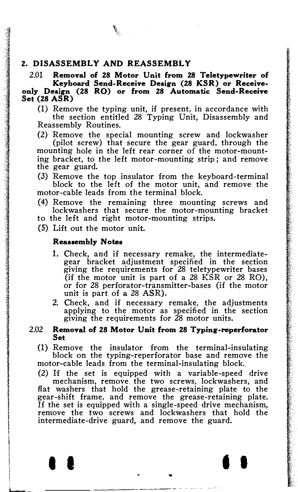#### 2. DISASSEMBLY AND REASSEMBLY

2.01 Removal of 28 Motor Unit from 28 Teletypewriter of Keyboard Send-Receive Design (28 KSR) or Receiveonly Design (28 RO) or from 28 Automatic Send-Receive Set (28 ASR)

(1) Remove the typing unit, if present, in accordance with the section entitled 28 Typing Unit, Disassembly and Reassembly Routines.

(2) Remove the special mounting screw and lockwasher (pilot screw) that secure the gear guard, through the mounting hole in the left rear corner of the motor-mounting bracket, to the left motor-mounting strip ; and remove the gear guard.

(3) Remove the top insulator from the keyboard-terminal block to the left of the motor unit, and remove the motor-cable leads from the terminal block.

(4) Remove the remaining three mounting screws and lockwashers that secure the motor-mounting bracket

to the left and right motor-mounting strips.

(5) Lift out the motor unit.

#### Reassembly Notes

- 1. Check, and if necessary remake, the intermediategear bracket adjustment specified in the section giving the requirements for 28 teletypewriter bases (if the motor unit is part of a 28 KSR or 28 RO), or for 28 perforator-transmitter-bases (if the motor unit is part of a 28 ASR).
- 2. Check, and if necessary remake, the adjustments applying to the motor as specified in the section giving the requirements for 28 motor units.

#### 2.02 Removal of 28 Motor Unit from 28 Typing-reperforator Set

(1) Remove the insulator from the terminal-insulating block on the typing-reperforator base and remove the motor-cable leads from the terminal-insulating block.

(2) If the set is equipped with a variable-speed drive

mechanism, remove the two screws, lockwashers, and flat washers that hold the grease-retaining plate to the gear-shift frame, and remove the grease-retaining plate. If the set is equipped with a single-speed drive mechanism, remove the two screws and lockwashers that hold the intermediate-drive guard, and remove the guard.

 $\bullet$   $\bullet$   $\bullet$   $\bullet$   $\bullet$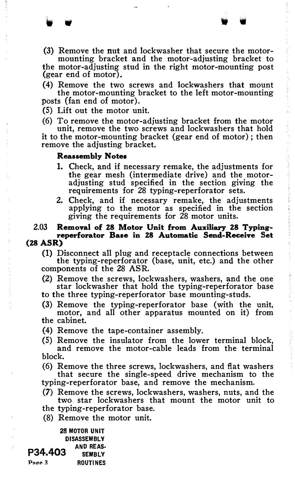- . .. .. .
- (3) Remove the nut and lockwasher that secure the motormounting bracket and the motor-adjusting bracket to

the motor-adjusting stud in the right motor-mounting post (gear end of motor).

(4) Remove the two screws and lockwashers that mount the motor-mounting bracket to the left motor-mounting posts (fan end of motor).

(5) Lift out the motor unit.

(6) To remove the motor-adjusting bracket from the motor

unit, remove the two screws and lockwashers that hold it to the motor-mounting bracket (gear end of motor); then remove the adjusting bracket.

#### Reaasembly Notes

- 1. Check, and if necessary remake, the adjustments for the gear mesh (intermediate drive) and the motoradjusting stud specified in the section giving the requirements for 28 typing-reperforator sets.
- 2. Check, and if necessary remake, the adjustments applying to the motor as specified in the section giving the requirements for 28 motor units.

# 2.03 Removal of 28 Motor Unit from Auxiliary 28 Typingreperforator Baae in 28 Automatic Send-Receive Set

## (28 ASR)

(1) Disconnect all plug and receptacle connections between the typing-reperforator (base, unit, etc.) and the other components of the 28 ASR.

- (2) Remove the screws, lockwashers, washers, and the one star lockwasher that hold the typing-reperforator base
- to the three typing-reperforator base mounting-studs.
- (3) Remove the typing-reperforator base (with the unit, motor, and all other apparatus mounted on it) from the cabinet.
- (4) Remove the tape-container assembly.
- (5) Remove the insulator from the lower terminal block, and remove the motor-cable leads from the terminal block.
- (6) Remove the three screws, lockwashers, and flat washers that secure the single-speed drive mechanism to the typing-reperforator base, and remove the mechanism.
- (7) Remove the screws, lockwashers, washers, nuts, and the two star lockwashers that mount the motor unit to
- the typing-reperforator base.
- (8) Remove the motor unit.

28 MOTOR UNIT DISASSEMBLY P34.403 AND REAS-Page 3 ROUTINES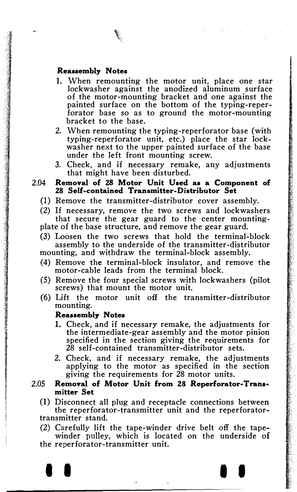$\ell$ 

- 1. When remounting the motor unit, place one star lockwasher against the anodized aluminum surface of the motor-mounting bracket and one against the painted surface on the bottom of the typing-reperforator base so as to ground the motor-mounting bracket to the base.
- 2. When remounting the typing-reperforator base (with typing-reperforator unit, etc.) place the star lockwasher next to the upper painted surface of the base under the left front mounting screw.
- 3. Check, and if necessary remake, any adjustments that might have been disturbed.

2.04 Removal of 28 Motor Unit Used as a Component of 28 Self-contained Transmitter-Distributor Set

- (1) Remove the transmitter-distributor cover assembly.
- (2) If necessary, remove the two screws and lockwashers that secure the gear guard to the center mountingplate of the base structure, and remove the gear guard.
- (3) Loosen the two screws that hold the terminal-block assembly to the underside of the transmitter-distributor mounting, and withdraw the terminal-block assembly.
- (4) Remove the terminal-block insulator, and remove the motor-cable leads from the terminal block.
- (5) Remove the four special screws with lockwashers (pilot screws) that mount the motor unit.
- (6) Lift the motor unit off the transmitter-distributor mounting.

#### Reassembly Notes

- 1. Check, and if necessary remake, the adjustments for the intermediate-gear assembly and the motor pinion specified in the section giving the requirements for 28 self-contained transmitter-distributor sets.
- 2. Check, and if necessary remake, the adjustments applying to the motor as specified in the section giving the requirements for  $\hat{2}8$  motor units.

#### 2.05 Removal of Motor Unit from 28 Reperforator-Trans• mitter Set

(1) Disconnect all plug and receptacle connections between the reperforator-transmitter unit and the reperforatortransmitter stand.

(2) Carefully lift the tape-winder drive belt off the tapewinder pulley, which is located on the underside of the reperforator-transmitter unit.

I I I I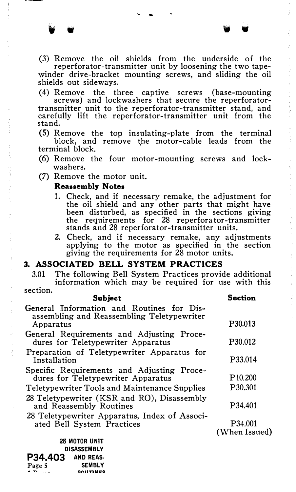(3) Remove the oil shields from the underside of the reperforator-transmitter unit by loosening the two tape-

winder drive-bracket mounting screws, and sliding the oil shields out sideways.

( 4) Remove the three captive screws (base-mounting screws) and lockwashers that secure the reperforatortransmitter unit to the reperforator-transmitter stand, and carefully lift the reperforator-transmitter unit from the stand.

(5) Remove the top insulating-plate from the terminal block, and remove the motor-cable leads from the terminal block.

- (6) Remove the four motor-mounting screws and lockwashers.
- (7) Remove the motor unit.

#### Reasaembly Notes

- 1. Check, and if necessary remake, the adjustment for the oil shield and any other parts that might have been disturbed, as specified in the sections giving the requirements for 28 reperfora tor-transmitter stands and 28 reperforator-transmitter units.
- 2. Check, and if necessary remake, any adjustments applying to the motor as specified in the section giving the requirements for 28 motor units.

#### 3. ASSOCIATED BELL SYSTEM PRACTICES

3.01 The following Bell System Practices provide additional information which may be required for use with this section.

| Subject                                                                                              | Section                  |  |
|------------------------------------------------------------------------------------------------------|--------------------------|--|
| General Information and Routines for Dis-<br>assembling and Reassembling Teletypewriter<br>Apparatus | P <sub>30.013</sub>      |  |
|                                                                                                      |                          |  |
| General Requirements and Adjusting Proce-<br>dures for Teletypewriter Apparatus                      | P30.012                  |  |
| Preparation of Teletypewriter Apparatus for<br>Installation                                          | P33.014                  |  |
| Specific Requirements and Adjusting Proce-<br>dures for Teletypewriter Apparatus                     | P <sub>10.200</sub>      |  |
| Teletypewriter Tools and Maintenance Supplies                                                        | P <sub>30.301</sub>      |  |
| 28 Teletypewriter (KSR and RO), Disassembly<br>and Reassembly Routines                               | P34.401                  |  |
| 28 Teletypewriter Apparatus, Index of Associ-<br>ated Bell System Practices                          | P34.001<br>(When Issued) |  |
| 28 MOTOR UNIT                                                                                        |                          |  |
| DISASSEMBLY                                                                                          |                          |  |

DISASSEMBLY P34.403 ANDREAS-Page 5 SEMBLY